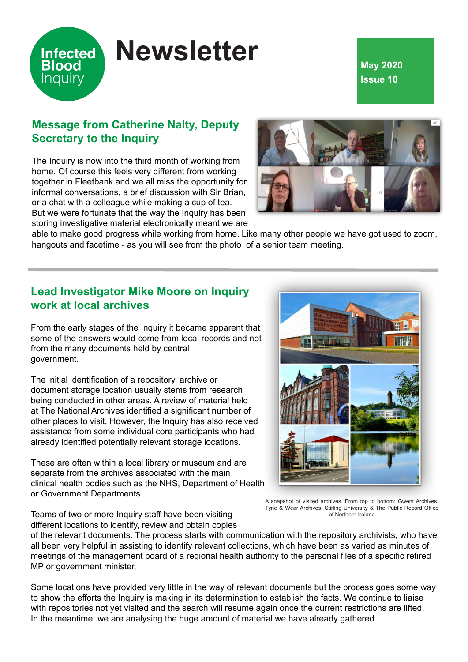# **Infected Blood** Inquiry

# **Newsletter**

### **May 2020 Issue 10**

## **Message from Catherine Nalty, Deputy Secretary to the Inquiry**

The Inquiry is now into the third month of working from home. Of course this feels very different from working together in Fleetbank and we all miss the opportunity for informal conversations, a brief discussion with Sir Brian, or a chat with a colleague while making a cup of tea. But we were fortunate that the way the Inquiry has been storing investigative material electronically meant we are



able to make good progress while working from home. Like many other people we have got used to zoom, hangouts and facetime - as you will see from the photo of a senior team meeting.

#### **Lead Investigator Mike Moore on Inquiry work at local archives**

From the early stages of the Inquiry it became apparent that some of the answers would come from local records and not from the many documents held by central government.

The initial identification of a repository, archive or document storage location usually stems from research being conducted in other areas. A review of material held at The National Archives identified a significant number of other places to visit. However, the Inquiry has also received assistance from some individual core participants who had already identified potentially relevant storage locations.

These are often within a local library or museum and are separate from the archives associated with the main clinical health bodies such as the NHS, Department of Health or Government Departments.



A snapshot of visited archives. From top to bottom: Gwent Archives, Tyne & Wear Archives, Stirling University & The Public Record Office of Northern Ireland

Teams of two or more Inquiry staff have been visiting different locations to identify, review and obtain copies

of the relevant documents. The process starts with communication with the repository archivists, who have all been very helpful in assisting to identify relevant collections, which have been as varied as minutes of meetings of the management board of a regional health authority to the personal files of a specific retired MP or government minister.

Some locations have provided very little in the way of relevant documents but the process goes some way to show the efforts the Inquiry is making in its determination to establish the facts. We continue to liaise with repositories not yet visited and the search will resume again once the current restrictions are lifted. In the meantime, we are analysing the huge amount of material we have already gathered.